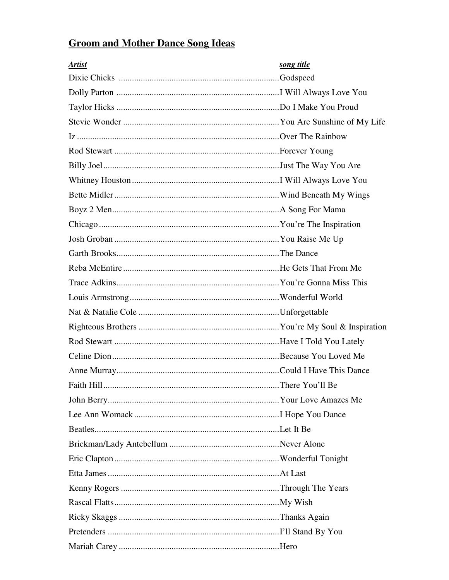## **Groom and Mother Dance Song Ideas**

| <b>Artist</b> | song title |
|---------------|------------|
|               |            |
|               |            |
|               |            |
|               |            |
|               |            |
|               |            |
|               |            |
|               |            |
|               |            |
|               |            |
|               |            |
|               |            |
|               |            |
|               |            |
|               |            |
|               |            |
|               |            |
|               |            |
|               |            |
|               |            |
|               |            |
|               |            |
|               |            |
|               |            |
|               |            |
|               |            |
|               |            |
|               |            |
|               |            |
|               |            |
|               |            |
|               |            |
|               |            |